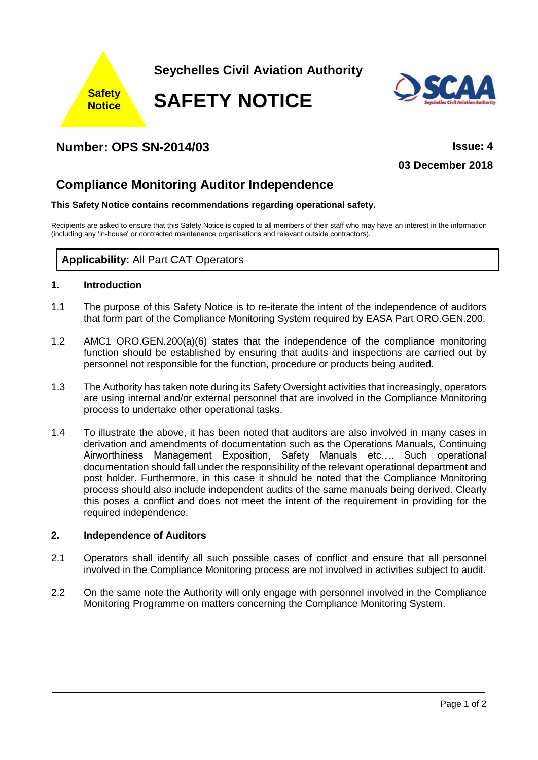

**Seychelles Civil Aviation Authority**

**SAFETY NOTICE**



## **Number: OPS SN-2014/03 Issue: 4**

**03 December 2018**

# **Compliance Monitoring Auditor Independence**

#### **This Safety Notice contains recommendations regarding operational safety.**

Recipients are asked to ensure that this Safety Notice is copied to all members of their staff who may have an interest in the information (including any 'in-house' or contracted maintenance organisations and relevant outside contractors).

### **Applicability:** All Part CAT Operators

#### **1. Introduction**

- 1.1 The purpose of this Safety Notice is to re-iterate the intent of the independence of auditors that form part of the Compliance Monitoring System required by EASA Part ORO.GEN.200.
- 1.2 AMC1 ORO.GEN.200(a)(6) states that the independence of the compliance monitoring function should be established by ensuring that audits and inspections are carried out by personnel not responsible for the function, procedure or products being audited.
- 1.3 The Authority has taken note during its Safety Oversight activities that increasingly, operators are using internal and/or external personnel that are involved in the Compliance Monitoring process to undertake other operational tasks.
- 1.4 To illustrate the above, it has been noted that auditors are also involved in many cases in derivation and amendments of documentation such as the Operations Manuals, Continuing Airworthiness Management Exposition, Safety Manuals etc…. Such operational documentation should fall under the responsibility of the relevant operational department and post holder. Furthermore, in this case it should be noted that the Compliance Monitoring process should also include independent audits of the same manuals being derived. Clearly this poses a conflict and does not meet the intent of the requirement in providing for the required independence.

#### **2. Independence of Auditors**

- 2.1 Operators shall identify all such possible cases of conflict and ensure that all personnel involved in the Compliance Monitoring process are not involved in activities subject to audit.
- 2.2 On the same note the Authority will only engage with personnel involved in the Compliance Monitoring Programme on matters concerning the Compliance Monitoring System.